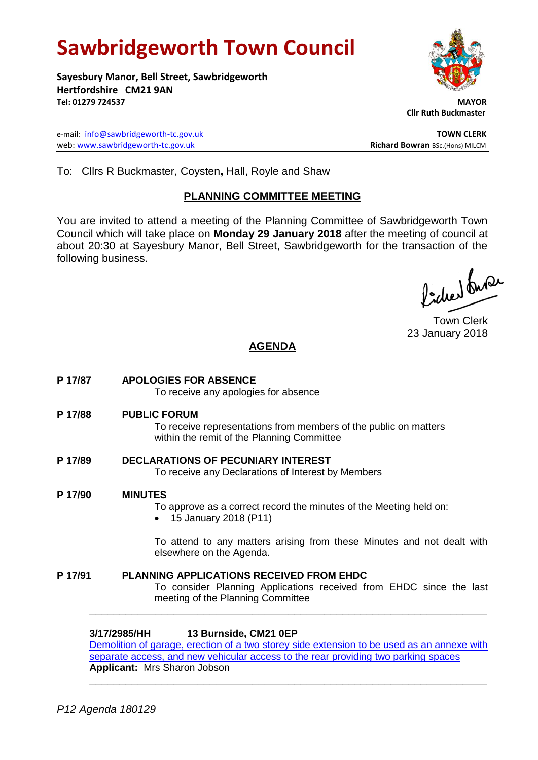# **Sawbridgeworth Town Council**

**Sayesbury Manor, Bell Street, Sawbridgeworth Hertfordshire CM21 9AN Tel: 01279 724537 MAYOR**

e-mail: [info@sawbridgeworth-tc.gov.uk](mailto:info@sawbridgeworth-tc.gov.uk)<br>
web: www.sawbridgeworth-tc.gov.uk **TOWN CLERK**<br>
Richard Bowran BSc.(Hons) MILCM web: www.sawbridgeworth-tc.gov.uk

 **Cllr Ruth Buckmaster** 

To: Cllrs R Buckmaster, Coysten**,** Hall, Royle and Shaw

# **PLANNING COMMITTEE MEETING**

You are invited to attend a meeting of the Planning Committee of Sawbridgeworth Town Council which will take place on **Monday 29 January 2018** after the meeting of council at about 20:30 at Sayesbury Manor, Bell Street, Sawbridgeworth for the transaction of the following business.

lacher buse

Town Clerk 23 January 2018

# **AGENDA**

**P 17/87 APOLOGIES FOR ABSENCE** To receive any apologies for absence **P 17/88 PUBLIC FORUM** To receive representations from members of the public on matters within the remit of the Planning Committee **P 17/89 DECLARATIONS OF PECUNIARY INTEREST** To receive any Declarations of Interest by Members **P 17/90 MINUTES** To approve as a correct record the minutes of the Meeting held on: • 15 January 2018 (P11) To attend to any matters arising from these Minutes and not dealt with elsewhere on the Agenda. **P 17/91 PLANNING APPLICATIONS RECEIVED FROM EHDC** To consider Planning Applications received from EHDC since the last meeting of the Planning Committee **\_\_\_\_\_\_\_\_\_\_\_\_\_\_\_\_\_\_\_\_\_\_\_\_\_\_\_\_\_\_\_\_\_\_\_\_\_\_\_\_\_\_\_\_\_\_\_\_\_\_\_\_\_\_\_\_\_\_\_\_\_\_\_\_\_\_**

**3/17/2985/HH 13 Burnside, CM21 0EP**

Demolition of garage, erection of a two storey side extension to be used as an annexe with [separate access, and new vehicular access to the rear providing two parking spaces](https://publicaccess.eastherts.gov.uk/online-applications/applicationDetails.do?activeTab=documents&keyVal=P1XCZVGL00V00) **Applicant:** Mrs Sharon Jobson **\_\_\_\_\_\_\_\_\_\_\_\_\_\_\_\_\_\_\_\_\_\_\_\_\_\_\_\_\_\_\_\_\_\_\_\_\_\_\_\_\_\_\_\_\_\_\_\_\_\_\_\_\_\_\_\_\_\_\_\_\_\_\_\_\_\_**

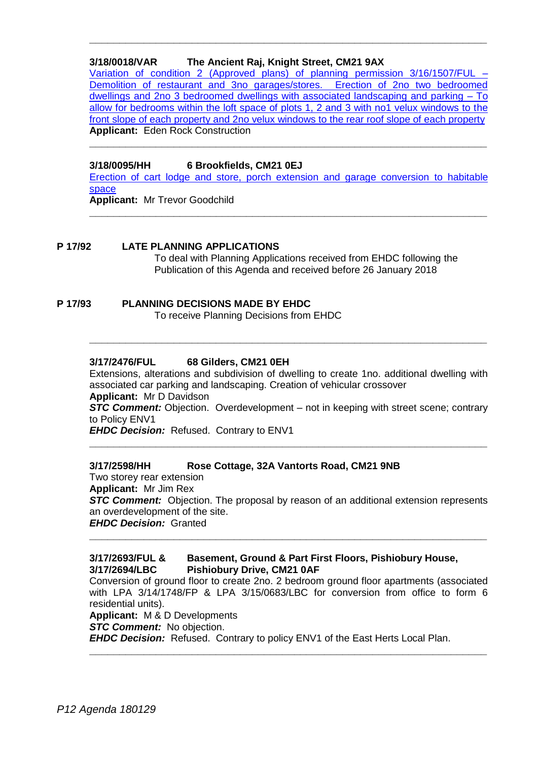### **3/18/0018/VAR The Ancient Raj, Knight Street, CM21 9AX**

[Variation of condition 2 \(Approved plans\) of planning permission 3/16/1507/FUL](https://publicaccess.eastherts.gov.uk/online-applications/applicationDetails.do?keyVal=P255VTGLJZT00&activeTab=summary) – [Demolition of restaurant and 3no garages/stores. Erection of 2no two bedroomed](https://publicaccess.eastherts.gov.uk/online-applications/applicationDetails.do?keyVal=P255VTGLJZT00&activeTab=summary)  [dwellings and 2no 3 bedroomed dwellings with associated landscaping and parking –](https://publicaccess.eastherts.gov.uk/online-applications/applicationDetails.do?keyVal=P255VTGLJZT00&activeTab=summary) To [allow for bedrooms within the loft space of plots 1, 2 and 3 with no1 velux windows to the](https://publicaccess.eastherts.gov.uk/online-applications/applicationDetails.do?keyVal=P255VTGLJZT00&activeTab=summary)  [front slope of each property and 2no velux windows to the rear roof slope of each property](https://publicaccess.eastherts.gov.uk/online-applications/applicationDetails.do?keyVal=P255VTGLJZT00&activeTab=summary) **Applicant:** Eden Rock Construction

**\_\_\_\_\_\_\_\_\_\_\_\_\_\_\_\_\_\_\_\_\_\_\_\_\_\_\_\_\_\_\_\_\_\_\_\_\_\_\_\_\_\_\_\_\_\_\_\_\_\_\_\_\_\_\_\_\_\_\_\_\_\_\_\_\_\_**

**\_\_\_\_\_\_\_\_\_\_\_\_\_\_\_\_\_\_\_\_\_\_\_\_\_\_\_\_\_\_\_\_\_\_\_\_\_\_\_\_\_\_\_\_\_\_\_\_\_\_\_\_\_\_\_\_\_\_\_\_\_\_\_\_\_\_**

#### **3/18/0095/HH 6 Brookfields, CM21 0EJ**

[Erection of cart lodge and store, porch extension and garage conversion to habitable](https://publicaccess.eastherts.gov.uk/online-applications/applicationDetails.do?keyVal=P2N2MMGL00B00&activeTab=summary)  [space](https://publicaccess.eastherts.gov.uk/online-applications/applicationDetails.do?keyVal=P2N2MMGL00B00&activeTab=summary)

**\_\_\_\_\_\_\_\_\_\_\_\_\_\_\_\_\_\_\_\_\_\_\_\_\_\_\_\_\_\_\_\_\_\_\_\_\_\_\_\_\_\_\_\_\_\_\_\_\_\_\_\_\_\_\_\_\_\_\_\_\_\_\_\_\_\_**

**Applicant:** Mr Trevor Goodchild

#### **P 17/92 LATE PLANNING APPLICATIONS**

To deal with Planning Applications received from EHDC following the Publication of this Agenda and received before 26 January 2018

#### **P 17/93 PLANNING DECISIONS MADE BY EHDC**

To receive Planning Decisions from EHDC

#### **3/17/2476/FUL 68 Gilders, CM21 0EH**

Extensions, alterations and subdivision of dwelling to create 1no. additional dwelling with associated car parking and landscaping. Creation of vehicular crossover **Applicant:** Mr D Davidson

**\_\_\_\_\_\_\_\_\_\_\_\_\_\_\_\_\_\_\_\_\_\_\_\_\_\_\_\_\_\_\_\_\_\_\_\_\_\_\_\_\_\_\_\_\_\_\_\_\_\_\_\_\_\_\_\_\_\_\_\_\_\_\_\_\_\_**

**STC Comment:** Objection. Overdevelopment – not in keeping with street scene; contrary to Policy ENV1

**\_\_\_\_\_\_\_\_\_\_\_\_\_\_\_\_\_\_\_\_\_\_\_\_\_\_\_\_\_\_\_\_\_\_\_\_\_\_\_\_\_\_\_\_\_\_\_\_\_\_\_\_\_\_\_\_\_\_\_\_\_\_\_\_\_\_**

*EHDC Decision: Refused. Contrary to ENV1* 

#### **3/17/2598/HH Rose Cottage, 32A Vantorts Road, CM21 9NB**

Two storey rear extension **Applicant:** Mr Jim Rex **STC Comment:** Objection. The proposal by reason of an additional extension represents an overdevelopment of the site. *EHDC Decision:* Granted

**\_\_\_\_\_\_\_\_\_\_\_\_\_\_\_\_\_\_\_\_\_\_\_\_\_\_\_\_\_\_\_\_\_\_\_\_\_\_\_\_\_\_\_\_\_\_\_\_\_\_\_\_\_\_\_\_\_\_\_\_\_\_\_\_\_\_**

#### **3/17/2693/FUL & Basement, Ground & Part First Floors, Pishiobury House, 3/17/2694/LBC Pishiobury Drive, CM21 0AF**

Conversion of ground floor to create 2no. 2 bedroom ground floor apartments (associated with LPA 3/14/1748/FP & LPA 3/15/0683/LBC for conversion from office to form 6 residential units). **Applicant:** M & D Developments *STC Comment:* No objection.

**\_\_\_\_\_\_\_\_\_\_\_\_\_\_\_\_\_\_\_\_\_\_\_\_\_\_\_\_\_\_\_\_\_\_\_\_\_\_\_\_\_\_\_\_\_\_\_\_\_\_\_\_\_\_\_\_\_\_\_\_\_\_\_\_\_\_**

*EHDC Decision:* Refused. Contrary to policy ENV1 of the East Herts Local Plan.